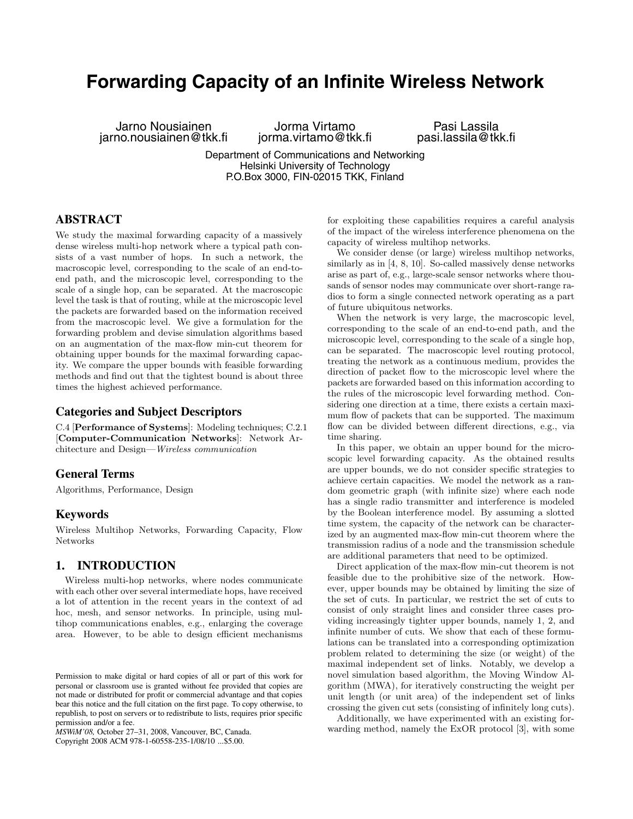# **Forwarding Capacity of an Infinite Wireless Network**

Jarno Nousiainen jarno.nousiainen@tkk.fi

Jorma Virtamo jorma.virtamo@tkk.fi

Pasi Lassila pasi.lassila@tkk.fi

Department of Communications and Networking Helsinki University of Technology P.O.Box 3000, FIN-02015 TKK, Finland

# **ABSTRACT**

We study the maximal forwarding capacity of a massively dense wireless multi-hop network where a typical path consists of a vast number of hops. In such a network, the macroscopic level, corresponding to the scale of an end-toend path, and the microscopic level, corresponding to the scale of a single hop, can be separated. At the macroscopic level the task is that of routing, while at the microscopic level the packets are forwarded based on the information received from the macroscopic level. We give a formulation for the forwarding problem and devise simulation algorithms based on an augmentation of the max-flow min-cut theorem for obtaining upper bounds for the maximal forwarding capacity. We compare the upper bounds with feasible forwarding methods and find out that the tightest bound is about three times the highest achieved performance.

# **Categories and Subject Descriptors**

C.4 [**Performance of Systems**]: Modeling techniques; C.2.1 [**Computer-Communication Networks**]: Network Architecture and Design—Wireless communication

### **General Terms**

Algorithms, Performance, Design

### **Keywords**

Wireless Multihop Networks, Forwarding Capacity, Flow Networks

### **1. INTRODUCTION**

Wireless multi-hop networks, where nodes communicate with each other over several intermediate hops, have received a lot of attention in the recent years in the context of ad hoc, mesh, and sensor networks. In principle, using multihop communications enables, e.g., enlarging the coverage area. However, to be able to design efficient mechanisms

Copyright 2008 ACM 978-1-60558-235-1/08/10 ...\$5.00.

for exploiting these capabilities requires a careful analysis of the impact of the wireless interference phenomena on the capacity of wireless multihop networks.

We consider dense (or large) wireless multihop networks, similarly as in [4, 8, 10]. So-called massively dense networks arise as part of, e.g., large-scale sensor networks where thousands of sensor nodes may communicate over short-range radios to form a single connected network operating as a part of future ubiquitous networks.

When the network is very large, the macroscopic level, corresponding to the scale of an end-to-end path, and the microscopic level, corresponding to the scale of a single hop, can be separated. The macroscopic level routing protocol, treating the network as a continuous medium, provides the direction of packet flow to the microscopic level where the packets are forwarded based on this information according to the rules of the microscopic level forwarding method. Considering one direction at a time, there exists a certain maximum flow of packets that can be supported. The maximum flow can be divided between different directions, e.g., via time sharing.

In this paper, we obtain an upper bound for the microscopic level forwarding capacity. As the obtained results are upper bounds, we do not consider specific strategies to achieve certain capacities. We model the network as a random geometric graph (with infinite size) where each node has a single radio transmitter and interference is modeled by the Boolean interference model. By assuming a slotted time system, the capacity of the network can be characterized by an augmented max-flow min-cut theorem where the transmission radius of a node and the transmission schedule are additional parameters that need to be optimized.

Direct application of the max-flow min-cut theorem is not feasible due to the prohibitive size of the network. However, upper bounds may be obtained by limiting the size of the set of cuts. In particular, we restrict the set of cuts to consist of only straight lines and consider three cases providing increasingly tighter upper bounds, namely 1, 2, and infinite number of cuts. We show that each of these formulations can be translated into a corresponding optimization problem related to determining the size (or weight) of the maximal independent set of links. Notably, we develop a novel simulation based algorithm, the Moving Window Algorithm (MWA), for iteratively constructing the weight per unit length (or unit area) of the independent set of links crossing the given cut sets (consisting of infinitely long cuts).

Additionally, we have experimented with an existing forwarding method, namely the ExOR protocol [3], with some

Permission to make digital or hard copies of all or part of this work for personal or classroom use is granted without fee provided that copies are not made or distributed for profit or commercial advantage and that copies bear this notice and the full citation on the first page. To copy otherwise, to republish, to post on servers or to redistribute to lists, requires prior specific permission and/or a fee.

*MSWiM'08,* October 27–31, 2008, Vancouver, BC, Canada.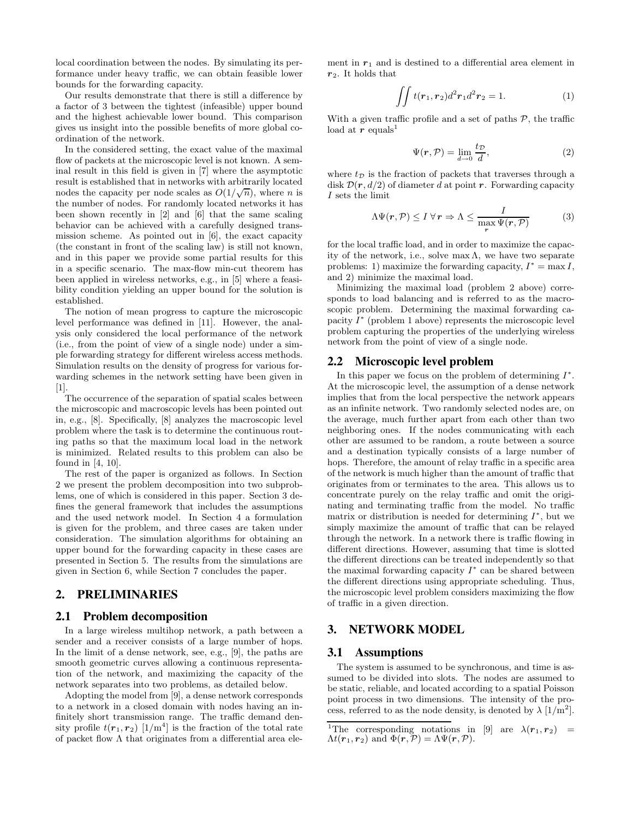local coordination between the nodes. By simulating its performance under heavy traffic, we can obtain feasible lower bounds for the forwarding capacity.

Our results demonstrate that there is still a difference by a factor of 3 between the tightest (infeasible) upper bound and the highest achievable lower bound. This comparison gives us insight into the possible benefits of more global coordination of the network.

In the considered setting, the exact value of the maximal flow of packets at the microscopic level is not known. A seminal result in this field is given in [7] where the asymptotic result is established that in networks with arbitrarily located result is established that in hetworks with arbitrarily located<br>nodes the capacity per node scales as  $O(1/\sqrt{n})$ , where *n* is the number of nodes. For randomly located networks it has been shown recently in [2] and [6] that the same scaling behavior can be achieved with a carefully designed transmission scheme. As pointed out in [6], the exact capacity (the constant in front of the scaling law) is still not known, and in this paper we provide some partial results for this in a specific scenario. The max-flow min-cut theorem has been applied in wireless networks, e.g., in [5] where a feasibility condition yielding an upper bound for the solution is established.

The notion of mean progress to capture the microscopic level performance was defined in [11]. However, the analysis only considered the local performance of the network (i.e., from the point of view of a single node) under a simple forwarding strategy for different wireless access methods. Simulation results on the density of progress for various forwarding schemes in the network setting have been given in [1].

The occurrence of the separation of spatial scales between the microscopic and macroscopic levels has been pointed out in, e.g., [8]. Specifically, [8] analyzes the macroscopic level problem where the task is to determine the continuous routing paths so that the maximum local load in the network is minimized. Related results to this problem can also be found in [4, 10].

The rest of the paper is organized as follows. In Section 2 we present the problem decomposition into two subproblems, one of which is considered in this paper. Section 3 defines the general framework that includes the assumptions and the used network model. In Section 4 a formulation is given for the problem, and three cases are taken under consideration. The simulation algorithms for obtaining an upper bound for the forwarding capacity in these cases are presented in Section 5. The results from the simulations are given in Section 6, while Section 7 concludes the paper.

# **2. PRELIMINARIES**

### **2.1 Problem decomposition**

In a large wireless multihop network, a path between a sender and a receiver consists of a large number of hops. In the limit of a dense network, see, e.g., [9], the paths are smooth geometric curves allowing a continuous representation of the network, and maximizing the capacity of the network separates into two problems, as detailed below.

Adopting the model from [9], a dense network corresponds to a network in a closed domain with nodes having an infinitely short transmission range. The traffic demand density profile  $t(\mathbf{r}_1, \mathbf{r}_2)$  [1/m<sup>4</sup>] is the fraction of the total rate of packet flow  $\Lambda$  that originates from a differential area element in  $r_1$  and is destined to a differential area element in *r*2. It holds that

$$
\iint t(\mathbf{r}_1, \mathbf{r}_2) d^2 \mathbf{r}_1 d^2 \mathbf{r}_2 = 1.
$$
 (1)

With a given traffic profile and a set of paths  $P$ , the traffic load at  $r$  equals<sup>1</sup>

$$
\Psi(r,\mathcal{P}) = \lim_{d \to 0} \frac{t_{\mathcal{D}}}{d},\tag{2}
$$

where  $t_{\mathcal{D}}$  is the fraction of packets that traverses through a disk  $\mathcal{D}(r, d/2)$  of diameter d at point r. Forwarding capacity I sets the limit

$$
\Lambda \Psi(r, \mathcal{P}) \le I \,\forall \, r \Rightarrow \Lambda \le \frac{I}{\max_{r} \Psi(r, \mathcal{P})}
$$
(3)

for the local traffic load, and in order to maximize the capacity of the network, i.e., solve  $\max \Lambda$ , we have two separate problems: 1) maximize the forwarding capacity,  $I^* = \max I$ , and 2) minimize the maximal load.

Minimizing the maximal load (problem 2 above) corresponds to load balancing and is referred to as the macroscopic problem. Determining the maximal forwarding capacity  $I^*$  (problem 1 above) represents the microscopic level problem capturing the properties of the underlying wireless network from the point of view of a single node.

### **2.2 Microscopic level problem**

In this paper we focus on the problem of determining  $I^*$ . At the microscopic level, the assumption of a dense network implies that from the local perspective the network appears as an infinite network. Two randomly selected nodes are, on the average, much further apart from each other than two neighboring ones. If the nodes communicating with each other are assumed to be random, a route between a source and a destination typically consists of a large number of hops. Therefore, the amount of relay traffic in a specific area of the network is much higher than the amount of traffic that originates from or terminates to the area. This allows us to concentrate purely on the relay traffic and omit the originating and terminating traffic from the model. No traffic matrix or distribution is needed for determining  $I^*$ , but we simply maximize the amount of traffic that can be relayed through the network. In a network there is traffic flowing in different directions. However, assuming that time is slotted the different directions can be treated independently so that the maximal forwarding capacity  $I^*$  can be shared between the different directions using appropriate scheduling. Thus, the microscopic level problem considers maximizing the flow of traffic in a given direction.

# **3. NETWORK MODEL**

# **3.1 Assumptions**

The system is assumed to be synchronous, and time is assumed to be divided into slots. The nodes are assumed to be static, reliable, and located according to a spatial Poisson point process in two dimensions. The intensity of the process, referred to as the node density, is denoted by  $\lambda$  [1/m<sup>2</sup>].

<sup>&</sup>lt;sup>1</sup>The corresponding notations in [9] are  $\lambda(r_1, r_2)$  =  $\Lambda t(\mathbf{r}_1, \mathbf{r}_2)$  and  $\Phi(\mathbf{r}, \mathcal{P}) = \Lambda \Psi(\mathbf{r}, \mathcal{P}).$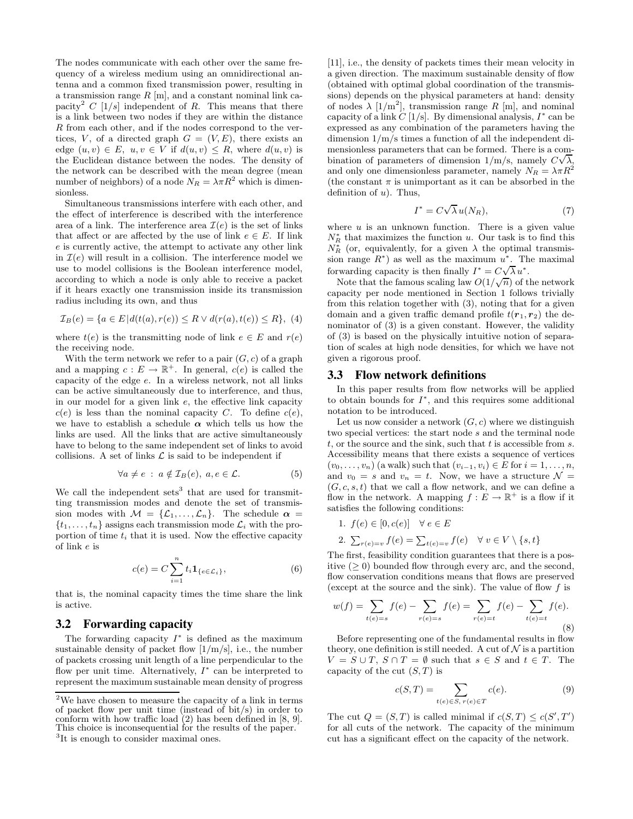The nodes communicate with each other over the same frequency of a wireless medium using an omnidirectional antenna and a common fixed transmission power, resulting in a transmission range  $R$  [m], and a constant nominal link capacity<sup>2</sup> C [1/s] independent of R. This means that there is a link between two nodes if they are within the distance R from each other, and if the nodes correspond to the vertices, V, of a directed graph  $G = (V, E)$ , there exists an edge  $(u, v) \in E$ ,  $u, v \in V$  if  $d(u, v) \le R$ , where  $d(u, v)$  is the Euclidean distance between the nodes. The density of the network can be described with the mean degree (mean number of neighbors) of a node  $N_R = \lambda \pi R^2$  which is dimensionless.

Simultaneous transmissions interfere with each other, and the effect of interference is described with the interference area of a link. The interference area  $\mathcal{I}(e)$  is the set of links that affect or are affected by the use of link  $e \in E$ . If link e is currently active, the attempt to activate any other link in  $\mathcal{I}(e)$  will result in a collision. The interference model we use to model collisions is the Boolean interference model, according to which a node is only able to receive a packet if it hears exactly one transmission inside its transmission radius including its own, and thus

$$
\mathcal{I}_B(e) = \{ a \in E \mid d(t(a), r(e)) \le R \lor d(r(a), t(e)) \le R \}, (4)
$$

where  $t(e)$  is the transmitting node of link  $e \in E$  and  $r(e)$ the receiving node.

With the term network we refer to a pair  $(G, c)$  of a graph and a mapping  $c: E \to \mathbb{R}^+$ . In general,  $c(e)$  is called the capacity of the edge e. In a wireless network, not all links can be active simultaneously due to interference, and thus, in our model for a given link e, the effective link capacity  $c(e)$  is less than the nominal capacity C. To define  $c(e)$ , we have to establish a schedule  $\alpha$  which tells us how the links are used. All the links that are active simultaneously have to belong to the same independent set of links to avoid collisions. A set of links  $\mathcal L$  is said to be independent if

$$
\forall a \neq e : a \notin \mathcal{I}_B(e), \ a, e \in \mathcal{L}.
$$
 (5)

We call the independent  $sets^3$  that are used for transmitting transmission modes and denote the set of transmission modes with  $M = \{\mathcal{L}_1, \ldots, \mathcal{L}_n\}$ . The schedule  $\alpha =$  $\{t_1,\ldots,t_n\}$  assigns each transmission mode  $\mathcal{L}_i$  with the proportion of time  $t_i$  that it is used. Now the effective capacity of link e is

$$
c(e) = C \sum_{i=1}^{n} t_i \mathbf{1}_{\{e \in \mathcal{L}_i\}},
$$
\n(6)

that is, the nominal capacity times the time share the link is active.

# **3.2 Forwarding capacity**

The forwarding capacity  $I^*$  is defined as the maximum sustainable density of packet flow  $[1/m/s]$ , i.e., the number of packets crossing unit length of a line perpendicular to the flow per unit time. Alternatively,  $I^*$  can be interpreted to represent the maximum sustainable mean density of progress

<sup>3</sup>It is enough to consider maximal ones.

[11], i.e., the density of packets times their mean velocity in a given direction. The maximum sustainable density of flow (obtained with optimal global coordination of the transmissions) depends on the physical parameters at hand: density of nodes  $\lambda$  [1/m<sup>2</sup>], transmission range R [m], and nominal capacity of a link C [1/s]. By dimensional analysis,  $I^*$  can be expressed as any combination of the parameters having the dimension 1/m/s times a function of all the independent dimensionless parameters that can be formed. There is a commensionless parameters that can be formed. There is a combination of parameters of dimension  $1/m/s$ , namely  $C\sqrt{\lambda}$ , and only one dimensionless parameter, namely  $N_R = \lambda \pi R^2$ (the constant  $\pi$  is unimportant as it can be absorbed in the definition of  $u$ ). Thus,

$$
I^* = C\sqrt{\lambda} u(N_R), \tag{7}
$$

where  $u$  is an unknown function. There is a given value  $N_R^*$  that maximizes the function u. Our task is to find this  $N_R^*$  (or, equivalently, for a given  $\lambda$  the optimal transmission range  $R^*$ ) as well as the maximum  $u^*$ . The maximal forwarding capacity is then finally  $I^* = C\sqrt{\lambda} u^*$ .

We was dingered to the famous scaling law  $O(1/\sqrt{n})$  of the network capacity per node mentioned in Section 1 follows trivially from this relation together with (3), noting that for a given domain and a given traffic demand profile  $t(\mathbf{r}_1, \mathbf{r}_2)$  the denominator of (3) is a given constant. However, the validity of (3) is based on the physically intuitive notion of separation of scales at high node densities, for which we have not given a rigorous proof.

### **3.3 Flow network definitions**

In this paper results from flow networks will be applied to obtain bounds for  $I^*$ , and this requires some additional notation to be introduced.

Let us now consider a network  $(G, c)$  where we distinguish two special vertices: the start node s and the terminal node  $t$ , or the source and the sink, such that  $t$  is accessible from  $s$ . Accessibility means that there exists a sequence of vertices  $(v_0,\ldots,v_n)$  (a walk) such that  $(v_{i-1},v_i) \in E$  for  $i=1,\ldots,n$ , and  $v_0 = s$  and  $v_n = t$ . Now, we have a structure  $\mathcal{N} =$  $(G, c, s, t)$  that we call a flow network, and we can define a flow in the network. A mapping  $f : E \to \mathbb{R}^+$  is a flow if it satisfies the following conditions:

1.  $f(e) \in [0, c(e)] \quad \forall e \in E$ 

2. 
$$
\sum_{r(e)=v} f(e) = \sum_{t(e)=v} f(e) \quad \forall \ v \in V \setminus \{s, t\}
$$

The first, feasibility condition guarantees that there is a positive  $(≥ 0)$  bounded flow through every arc, and the second, flow conservation conditions means that flows are preserved (except at the source and the sink). The value of flow  $f$  is

$$
w(f) = \sum_{t(e)=s} f(e) - \sum_{r(e)=s} f(e) = \sum_{r(e)=t} f(e) - \sum_{t(e)=t} f(e).
$$
\n(8)

Before representing one of the fundamental results in flow theory, one definition is still needed. A cut of  $N$  is a partition  $V = S \cup T$ ,  $S \cap T = \emptyset$  such that  $s \in S$  and  $t \in T$ . The capacity of the cut  $(S, T)$  is

$$
c(S,T) = \sum_{t(e) \in S, r(e) \in T} c(e). \tag{9}
$$

The cut  $Q = (S, T)$  is called minimal if  $c(S, T) \leq c(S', T')$ for all cuts of the network. The capacity of the minimum cut has a significant effect on the capacity of the network.

 $\overline{\text{2We}}$  have chosen to measure the capacity of a link in terms of packet flow per unit time (instead of bit/s) in order to conform with how traffic load (2) has been defined in [8, 9]. This choice is inconsequential for the results of the paper.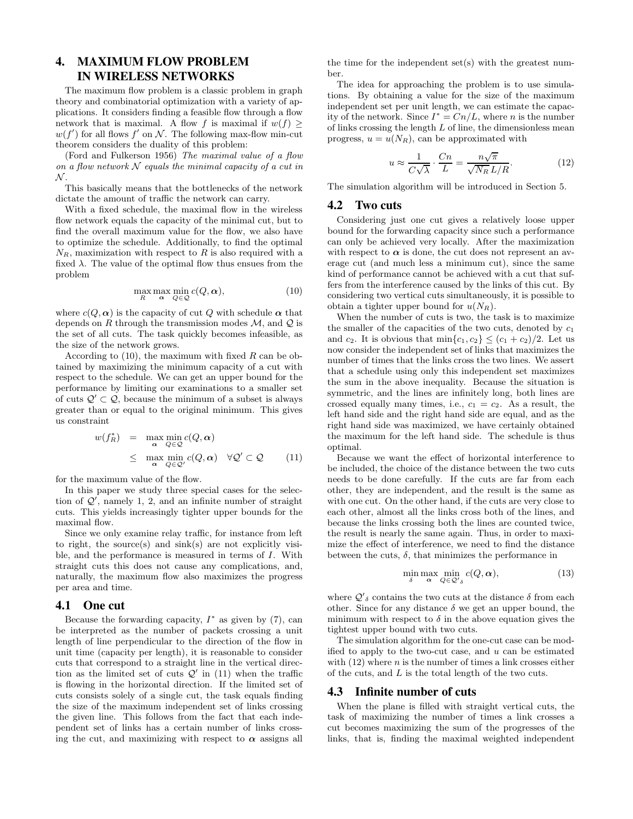# **4. MAXIMUM FLOW PROBLEM IN WIRELESS NETWORKS**

The maximum flow problem is a classic problem in graph theory and combinatorial optimization with a variety of applications. It considers finding a feasible flow through a flow network that is maximal. A flow f is maximal if  $w(f)$  $w(f')$  for all flows  $f'$  on  $\mathcal N$ . The following max-flow min-cut theorem considers the duality of this problem:

(Ford and Fulkerson 1956) The maximal value of a flow on a flow network  $N$  equals the minimal capacity of a cut in  $\mathcal{N}.$ 

This basically means that the bottlenecks of the network dictate the amount of traffic the network can carry.

With a fixed schedule, the maximal flow in the wireless flow network equals the capacity of the minimal cut, but to find the overall maximum value for the flow, we also have to optimize the schedule. Additionally, to find the optimal  $N_R$ , maximization with respect to R is also required with a fixed  $\lambda$ . The value of the optimal flow thus ensues from the problem

$$
\max_{R} \max_{\alpha} \min_{Q \in \mathcal{Q}} c(Q, \alpha), \tag{10}
$$

where  $c(Q, \alpha)$  is the capacity of cut Q with schedule  $\alpha$  that depends on R through the transmission modes  $M$ , and  $Q$  is the set of all cuts. The task quickly becomes infeasible, as the size of the network grows.

According to  $(10)$ , the maximum with fixed R can be obtained by maximizing the minimum capacity of a cut with respect to the schedule. We can get an upper bound for the performance by limiting our examinations to a smaller set of cuts  $\mathcal{Q}' \subset \mathcal{Q}$ , because the minimum of a subset is always greater than or equal to the original minimum. This gives us constraint

$$
w(f_R^*) = \max_{\alpha} \min_{Q \in \mathcal{Q}} c(Q, \alpha)
$$
  
\$\leq\$  $\max_{\alpha} \min_{Q \in \mathcal{Q}'} c(Q, \alpha) \quad \forall \mathcal{Q}' \subset \mathcal{Q}$  (11)

for the maximum value of the flow.

In this paper we study three special cases for the selection of  $Q'$ , namely 1, 2, and an infinite number of straight cuts. This yields increasingly tighter upper bounds for the maximal flow.

Since we only examine relay traffic, for instance from left to right, the source(s) and sink(s) are not explicitly visible, and the performance is measured in terms of I. With straight cuts this does not cause any complications, and, naturally, the maximum flow also maximizes the progress per area and time.

### **4.1 One cut**

Because the forwarding capacity,  $I^*$  as given by (7), can be interpreted as the number of packets crossing a unit length of line perpendicular to the direction of the flow in unit time (capacity per length), it is reasonable to consider cuts that correspond to a straight line in the vertical direction as the limited set of cuts  $Q'$  in (11) when the traffic is flowing in the horizontal direction. If the limited set of cuts consists solely of a single cut, the task equals finding the size of the maximum independent set of links crossing the given line. This follows from the fact that each independent set of links has a certain number of links crossing the cut, and maximizing with respect to  $\alpha$  assigns all the time for the independent set(s) with the greatest number.

The idea for approaching the problem is to use simulations. By obtaining a value for the size of the maximum independent set per unit length, we can estimate the capacity of the network. Since  $I^* = Cn/L$ , where n is the number of links crossing the length  $L$  of line, the dimensionless mean progress,  $u = u(N_R)$ , can be approximated with

$$
u \approx \frac{1}{C\sqrt{\lambda}} \cdot \frac{Cn}{L} = \frac{n\sqrt{\pi}}{\sqrt{N_R} L/R}.
$$
 (12)

The simulation algorithm will be introduced in Section 5.

### **4.2 Two cuts**

Considering just one cut gives a relatively loose upper bound for the forwarding capacity since such a performance can only be achieved very locally. After the maximization with respect to  $\alpha$  is done, the cut does not represent an average cut (and much less a minimum cut), since the same kind of performance cannot be achieved with a cut that suffers from the interference caused by the links of this cut. By considering two vertical cuts simultaneously, it is possible to obtain a tighter upper bound for  $u(N_R)$ .

When the number of cuts is two, the task is to maximize the smaller of the capacities of the two cuts, denoted by  $c_1$ and c<sub>2</sub>. It is obvious that  $\min\{c_1, c_2\} \leq (c_1 + c_2)/2$ . Let us now consider the independent set of links that maximizes the number of times that the links cross the two lines. We assert that a schedule using only this independent set maximizes the sum in the above inequality. Because the situation is symmetric, and the lines are infinitely long, both lines are crossed equally many times, i.e.,  $c_1 = c_2$ . As a result, the left hand side and the right hand side are equal, and as the right hand side was maximized, we have certainly obtained the maximum for the left hand side. The schedule is thus optimal.

Because we want the effect of horizontal interference to be included, the choice of the distance between the two cuts needs to be done carefully. If the cuts are far from each other, they are independent, and the result is the same as with one cut. On the other hand, if the cuts are very close to each other, almost all the links cross both of the lines, and because the links crossing both the lines are counted twice, the result is nearly the same again. Thus, in order to maximize the effect of interference, we need to find the distance between the cuts,  $\delta$ , that minimizes the performance in

$$
\min_{\delta} \max_{\alpha} \min_{Q \in \mathcal{Q'}_{\delta}} c(Q, \alpha), \tag{13}
$$

where  $\mathcal{Q'}_{\delta}$  contains the two cuts at the distance  $\delta$  from each other. Since for any distance  $\delta$  we get an upper bound, the minimum with respect to  $\delta$  in the above equation gives the tightest upper bound with two cuts.

The simulation algorithm for the one-cut case can be modified to apply to the two-cut case, and  $u$  can be estimated with  $(12)$  where *n* is the number of times a link crosses either of the cuts, and L is the total length of the two cuts.

### **4.3 Infinite number of cuts**

When the plane is filled with straight vertical cuts, the task of maximizing the number of times a link crosses a cut becomes maximizing the sum of the progresses of the links, that is, finding the maximal weighted independent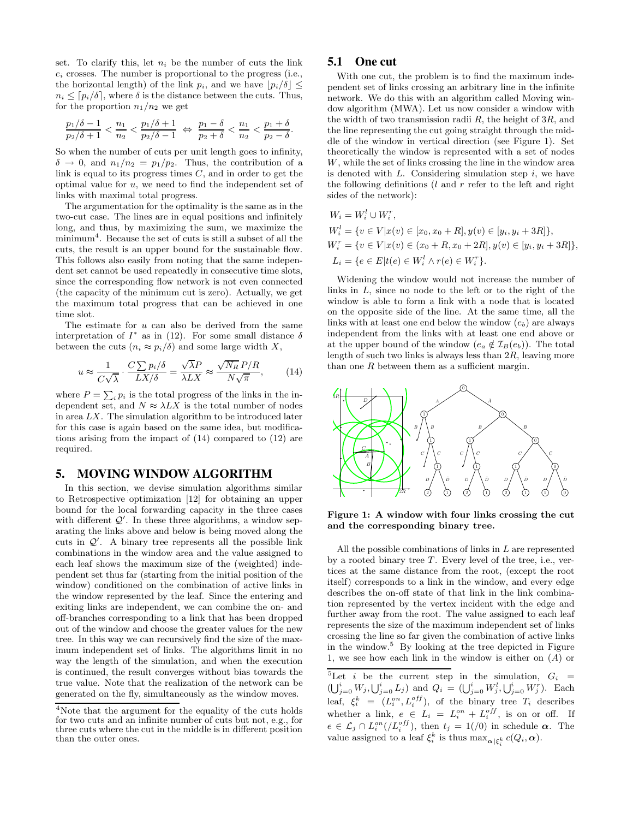set. To clarify this, let  $n_i$  be the number of cuts the link  $e_i$  crosses. The number is proportional to the progress (i.e., the horizontal length) of the link  $p_i$ , and we have  $|p_i/\delta| \leq$  $n_i \leq [p_i/\delta]$ , where  $\delta$  is the distance between the cuts. Thus, for the proportion  $n_1/n_2$  we get

$$
\frac{p_1/\delta - 1}{p_2/\delta + 1} < \frac{n_1}{n_2} < \frac{p_1/\delta + 1}{p_2/\delta - 1} \ \Leftrightarrow \ \frac{p_1 - \delta}{p_2 + \delta} < \frac{n_1}{n_2} < \frac{p_1 + \delta}{p_2 - \delta}.
$$

So when the number of cuts per unit length goes to infinity,  $\delta \to 0$ , and  $n_1/n_2 = p_1/p_2$ . Thus, the contribution of a link is equal to its progress times  $C$ , and in order to get the optimal value for u, we need to find the independent set of links with maximal total progress.

The argumentation for the optimality is the same as in the two-cut case. The lines are in equal positions and infinitely long, and thus, by maximizing the sum, we maximize the minimum<sup>4</sup>. Because the set of cuts is still a subset of all the cuts, the result is an upper bound for the sustainable flow. This follows also easily from noting that the same independent set cannot be used repeatedly in consecutive time slots, since the corresponding flow network is not even connected (the capacity of the minimum cut is zero). Actually, we get the maximum total progress that can be achieved in one time slot.

The estimate for  $u$  can also be derived from the same interpretation of  $I^*$  as in (12). For some small distance  $\delta$ between the cuts  $(n_i \approx p_i/\delta)$  and some large width X,

$$
u \approx \frac{1}{C\sqrt{\lambda}} \cdot \frac{C\sum p_i/\delta}{LX/\delta} = \frac{\sqrt{\lambda}P}{\lambda LX} \approx \frac{\sqrt{N_R}P/R}{N\sqrt{\pi}},\qquad(14)
$$

where  $P = \sum_i p_i$  is the total progress of the links in the independent set, and  $N \approx \lambda L X$  is the total number of nodes in area LX. The simulation algorithm to be introduced later for this case is again based on the same idea, but modifications arising from the impact of (14) compared to (12) are required.

# **5. MOVING WINDOW ALGORITHM**

In this section, we devise simulation algorithms similar to Retrospective optimization [12] for obtaining an upper bound for the local forwarding capacity in the three cases with different  $Q'$ . In these three algorithms, a window separating the links above and below is being moved along the cuts in  $Q'$ . A binary tree represents all the possible link combinations in the window area and the value assigned to each leaf shows the maximum size of the (weighted) independent set thus far (starting from the initial position of the window) conditioned on the combination of active links in the window represented by the leaf. Since the entering and exiting links are independent, we can combine the on- and off-branches corresponding to a link that has been dropped out of the window and choose the greater values for the new tree. In this way we can recursively find the size of the maximum independent set of links. The algorithms limit in no way the length of the simulation, and when the execution is continued, the result converges without bias towards the true value. Note that the realization of the network can be generated on the fly, simultaneously as the window moves.

# **5.1 One cut**

With one cut, the problem is to find the maximum independent set of links crossing an arbitrary line in the infinite network. We do this with an algorithm called Moving window algorithm (MWA). Let us now consider a window with the width of two transmission radii  $R$ , the height of  $3R$ , and the line representing the cut going straight through the middle of the window in vertical direction (see Figure 1). Set theoretically the window is represented with a set of nodes W, while the set of links crossing the line in the window area is denoted with  $L$ . Considering simulation step  $i$ , we have the following definitions  $(l \text{ and } r \text{ refer to the left and right})$ sides of the network):

$$
W_i = W_i^l \cup W_i^r,
$$
  
\n
$$
W_i^l = \{v \in V | x(v) \in [x_0, x_0 + R], y(v) \in [y_i, y_i + 3R] \},
$$
  
\n
$$
W_i^r = \{v \in V | x(v) \in (x_0 + R, x_0 + 2R], y(v) \in [y_i, y_i + 3R] \},
$$
  
\n
$$
L_i = \{e \in E | t(e) \in W_i^l \land r(e) \in W_i^r \}.
$$

Widening the window would not increase the number of links in L, since no node to the left or to the right of the window is able to form a link with a node that is located on the opposite side of the line. At the same time, all the links with at least one end below the window  $(e_b)$  are always independent from the links with at least one end above or at the upper bound of the window  $(e_a \notin \mathcal{I}_B(e_b))$ . The total length of such two links is always less than  $2R$ , leaving more than one R between them as a sufficient margin.



**Figure 1: A window with four links crossing the cut and the corresponding binary tree.**

All the possible combinations of links in L are represented by a rooted binary tree  $T$ . Every level of the tree, i.e., vertices at the same distance from the root, (except the root itself) corresponds to a link in the window, and every edge describes the on-off state of that link in the link combination represented by the vertex incident with the edge and further away from the root. The value assigned to each leaf represents the size of the maximum independent set of links crossing the line so far given the combination of active links in the window.<sup>5</sup> By looking at the tree depicted in Figure 1, we see how each link in the window is either on (A) or

 $\overline{5}$ Let *i* be the current step in the simulation,  $G_i$  =  $(\bigcup_{j=0}^{i} W_j, \bigcup_{j=0}^{i} L_j)$  and  $Q_i = (\bigcup_{j=0}^{i} W_j^l, \bigcup_{j=0}^{i} W_j^r)$ . Each leaf,  $\xi_i^k = (L_i^{on}, L_i^{off})$ , of the binary tree  $T_i$  describes whether a link,  $e \in L_i = L_i^{on} + L_i^{off}$ , is on or off. If  $e \in \mathcal{L}_j \cap L_i^{on}((L_i^{off}), \text{ then } t_j = 1/0)$  in schedule  $\alpha$ . The value assigned to a leaf  $\xi_i^k$  is thus  $\max_{\alpha|\xi_i^k} c(Q_i, \alpha)$ .

<sup>4</sup>Note that the argument for the equality of the cuts holds for two cuts and an infinite number of cuts but not, e.g., for three cuts where the cut in the middle is in different position than the outer ones.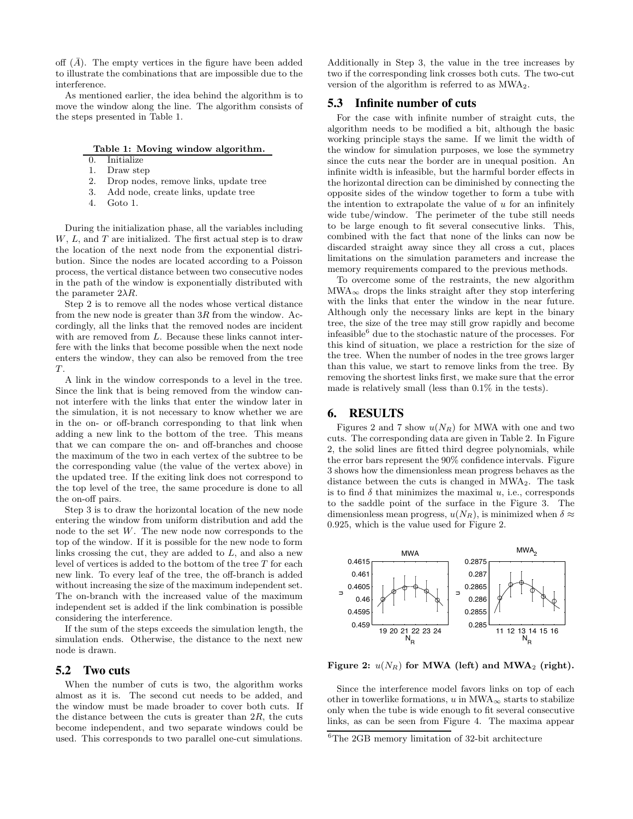off  $(\bar{A})$ . The empty vertices in the figure have been added to illustrate the combinations that are impossible due to the interference.

As mentioned earlier, the idea behind the algorithm is to move the window along the line. The algorithm consists of the steps presented in Table 1.

**Table 1: Moving window algorithm.**

0. Initialize

- 1. Draw step
- 2. Drop nodes, remove links, update tree
- 3. Add node, create links, update tree
- 4. Goto 1.

During the initialization phase, all the variables including  $W, L$ , and  $T$  are initialized. The first actual step is to draw the location of the next node from the exponential distribution. Since the nodes are located according to a Poisson process, the vertical distance between two consecutive nodes in the path of the window is exponentially distributed with the parameter  $2\lambda R$ .

Step 2 is to remove all the nodes whose vertical distance from the new node is greater than  $3R$  from the window. Accordingly, all the links that the removed nodes are incident with are removed from L. Because these links cannot interfere with the links that become possible when the next node enters the window, they can also be removed from the tree T.

A link in the window corresponds to a level in the tree. Since the link that is being removed from the window cannot interfere with the links that enter the window later in the simulation, it is not necessary to know whether we are in the on- or off-branch corresponding to that link when adding a new link to the bottom of the tree. This means that we can compare the on- and off-branches and choose the maximum of the two in each vertex of the subtree to be the corresponding value (the value of the vertex above) in the updated tree. If the exiting link does not correspond to the top level of the tree, the same procedure is done to all the on-off pairs.

Step 3 is to draw the horizontal location of the new node entering the window from uniform distribution and add the node to the set W. The new node now corresponds to the top of the window. If it is possible for the new node to form links crossing the cut, they are added to L, and also a new level of vertices is added to the bottom of the tree  $T$  for each new link. To every leaf of the tree, the off-branch is added without increasing the size of the maximum independent set. The on-branch with the increased value of the maximum independent set is added if the link combination is possible considering the interference.

If the sum of the steps exceeds the simulation length, the simulation ends. Otherwise, the distance to the next new node is drawn.

### **5.2 Two cuts**

When the number of cuts is two, the algorithm works almost as it is. The second cut needs to be added, and the window must be made broader to cover both cuts. If the distance between the cuts is greater than  $2R$ , the cuts become independent, and two separate windows could be used. This corresponds to two parallel one-cut simulations.

Additionally in Step 3, the value in the tree increases by two if the corresponding link crosses both cuts. The two-cut version of the algorithm is referred to as  $\text{MWA}_2$ .

### **5.3 Infinite number of cuts**

For the case with infinite number of straight cuts, the algorithm needs to be modified a bit, although the basic working principle stays the same. If we limit the width of the window for simulation purposes, we lose the symmetry since the cuts near the border are in unequal position. An infinite width is infeasible, but the harmful border effects in the horizontal direction can be diminished by connecting the opposite sides of the window together to form a tube with the intention to extrapolate the value of  $u$  for an infinitely wide tube/window. The perimeter of the tube still needs to be large enough to fit several consecutive links. This, combined with the fact that none of the links can now be discarded straight away since they all cross a cut, places limitations on the simulation parameters and increase the memory requirements compared to the previous methods.

To overcome some of the restraints, the new algorithm  $\text{MWA}_{\infty}$  drops the links straight after they stop interfering with the links that enter the window in the near future. Although only the necessary links are kept in the binary tree, the size of the tree may still grow rapidly and become infeasible $^6$  due to the stochastic nature of the processes. For this kind of situation, we place a restriction for the size of the tree. When the number of nodes in the tree grows larger than this value, we start to remove links from the tree. By removing the shortest links first, we make sure that the error made is relatively small (less than 0.1% in the tests).

# **6. RESULTS**

Figures 2 and 7 show  $u(N_R)$  for MWA with one and two cuts. The corresponding data are given in Table 2. In Figure 2, the solid lines are fitted third degree polynomials, while the error bars represent the 90% confidence intervals. Figure 3 shows how the dimensionless mean progress behaves as the distance between the cuts is changed in MWA2. The task is to find  $\delta$  that minimizes the maximal  $u$ , i.e., corresponds to the saddle point of the surface in the Figure 3. The dimensionless mean progress,  $u(N_R)$ , is minimized when  $\delta \approx$ 0.925, which is the value used for Figure 2.



**Figure 2:**  $u(N_R)$  for MWA (left) and MWA<sub>2</sub> (right).

Since the interference model favors links on top of each other in towerlike formations,  $u$  in  $\text{MWA}_{\infty}$  starts to stabilize only when the tube is wide enough to fit several consecutive links, as can be seen from Figure 4. The maxima appear

 $^6\mathrm{The}$  2GB memory limitation of 32-bit architecture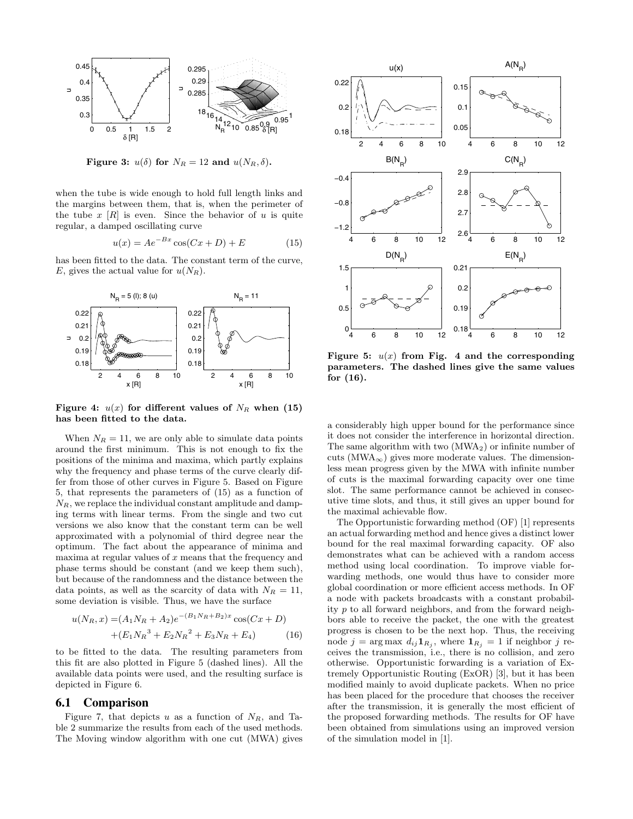

**Figure 3:**  $u(\delta)$  for  $N_R = 12$  and  $u(N_R, \delta)$ .

when the tube is wide enough to hold full length links and the margins between them, that is, when the perimeter of the tube  $x [R]$  is even. Since the behavior of u is quite regular, a damped oscillating curve

$$
u(x) = Ae^{-Bx}\cos(Cx+D) + E \tag{15}
$$

has been fitted to the data. The constant term of the curve, E, gives the actual value for  $u(N_R)$ .



**Figure 4:**  $u(x)$  for different values of  $N_R$  when (15) **has been fitted to the data.**

When  $N_R = 11$ , we are only able to simulate data points around the first minimum. This is not enough to fix the positions of the minima and maxima, which partly explains why the frequency and phase terms of the curve clearly differ from those of other curves in Figure 5. Based on Figure 5, that represents the parameters of (15) as a function of  $N_R$ , we replace the individual constant amplitude and damping terms with linear terms. From the single and two cut versions we also know that the constant term can be well approximated with a polynomial of third degree near the optimum. The fact about the appearance of minima and maxima at regular values of  $x$  means that the frequency and phase terms should be constant (and we keep them such), but because of the randomness and the distance between the data points, as well as the scarcity of data with  $N_R = 11$ , some deviation is visible. Thus, we have the surface

$$
u(N_R, x) = (A_1 N_R + A_2)e^{-(B_1 N_R + B_2)x} \cos(Cx + D)
$$
  
+  $(E_1 N_R^3 + E_2 N_R^2 + E_3 N_R + E_4)$  (16)

to be fitted to the data. The resulting parameters from this fit are also plotted in Figure 5 (dashed lines). All the available data points were used, and the resulting surface is depicted in Figure 6.

### **6.1 Comparison**

Figure 7, that depicts u as a function of  $N_R$ , and Table 2 summarize the results from each of the used methods. The Moving window algorithm with one cut (MWA) gives



**Figure 5:**  $u(x)$  from Fig. 4 and the corresponding **parameters. The dashed lines give the same values for (16).**

a considerably high upper bound for the performance since it does not consider the interference in horizontal direction. The same algorithm with two  $(MWA<sub>2</sub>)$  or infinite number of cuts (MWA<sub>∞</sub>) gives more moderate values. The dimensionless mean progress given by the MWA with infinite number of cuts is the maximal forwarding capacity over one time slot. The same performance cannot be achieved in consecutive time slots, and thus, it still gives an upper bound for the maximal achievable flow.

The Opportunistic forwarding method (OF) [1] represents an actual forwarding method and hence gives a distinct lower bound for the real maximal forwarding capacity. OF also demonstrates what can be achieved with a random access method using local coordination. To improve viable forwarding methods, one would thus have to consider more global coordination or more efficient access methods. In OF a node with packets broadcasts with a constant probability p to all forward neighbors, and from the forward neighbors able to receive the packet, the one with the greatest progress is chosen to be the next hop. Thus, the receiving node  $j = \arg \max d_{ij} \mathbf{1}_{R_j}$ , where  $\mathbf{1}_{R_j} = 1$  if neighbor j receives the transmission, i.e., there is no collision, and zero otherwise. Opportunistic forwarding is a variation of Extremely Opportunistic Routing (ExOR) [3], but it has been modified mainly to avoid duplicate packets. When no price has been placed for the procedure that chooses the receiver after the transmission, it is generally the most efficient of the proposed forwarding methods. The results for OF have been obtained from simulations using an improved version of the simulation model in [1].